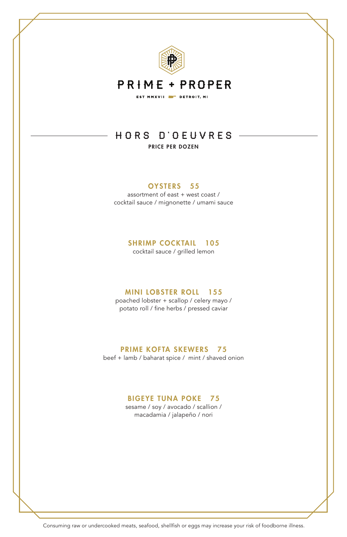

# **PRIME + PROPER** EST MMXVII **ET DETROIT**, MI

# HORS D'OEUVRES PRICE PER DOZEN

### OYSTERS 55

assortment of east + west coast / cocktail sauce / mignonette / umami sauce

### SHRIMP COCKTAIL 105

cocktail sauce / grilled lemon

#### MINI LOBSTER ROLL 155

poached lobster + scallop / celery mayo / potato roll / fine herbs / pressed caviar

## PRIME KOFTA SKEWERS 75

beef + lamb / baharat spice / mint / shaved onion

### BIGEYE TUNA POKE 75

sesame / soy / avocado / scallion / macadamia / jalapeño / nori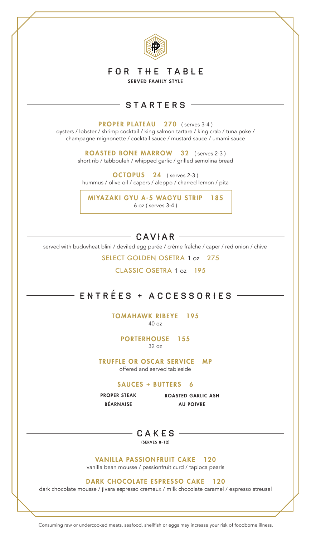

# FOR THE TABLE

SERVED FAMILY STYLE

# STARTERS

PROPER PLATEAU 270 (serves 3-4)

oysters / lobster / shrimp cocktail / king salmon tartare / king crab / tuna poke / champagne mignonette / cocktail sauce / mustard sauce / umami sauce

> ROASTED BONE MARROW 32 (serves 2-3) short rib / tabbouleh / whipped garlic / grilled semolina bread

OCTOPUS 24 ( serves 2-3 ) hummus / olive oil / capers / aleppo / charred lemon / pita

MIYAZAKI GYU A-5 WAGYU STRIP 185 6 oz ( serves 3-4 )

# $-$  CAVIAR  $-$

served with buckwheat blini / deviled egg purée / crème fraÎche / caper / red onion / chive

SELECT GOLDEN OSETRA 1 oz 275

CLASSIC OSETRA 1 oz 195

# ENTREES + A C CESSOR IES

TOMAHAWK RIBEYE 195 40 oz

> PORTERHOUSE 155 32 oz

TRUFFLE OR OSCAR SERVICE MP offered and served tableside

### SAUCES + BUTTERS 6

PROPER STEAK BÉARNAISE

ROASTED GARLIC ASH AU POIVRE

 $CAKES$  –

(SERVES 8-12)

VANILLA PASSIONFRUIT CAKE 120

vanilla bean mousse / passionfruit curd / tapioca pearls

#### DARK CHOCOLATE ESPRESSO CAKE 120

dark chocolate mousse / jivara espresso cremeux / milk chocolate caramel / espresso streusel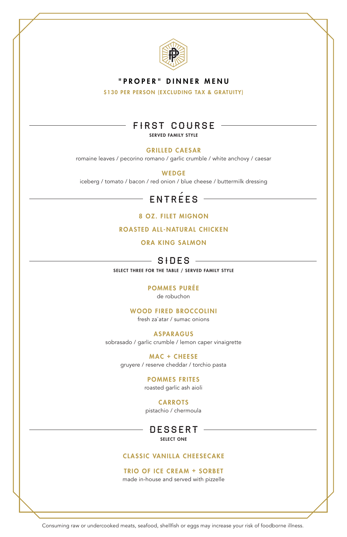

### "PROPER" DINNER MENU

\$130 PER PERSON (EXCLUDING TAX & GRATUITY)

# FIRST COURSE

SERVED FAMILY STYLE

#### GRILLED CAESAR

romaine leaves / pecorino romano / garlic crumble / white anchovy / caesar

WEDGE

iceberg / tomato / bacon / red onion / blue cheese / buttermilk dressing

# ENTREES

8 OZ. FILET MIGNON

ROASTED ALL-NATURAL CHICKEN

ORA KING SALMON

# $S+DES$

SELECT THREE FOR THE TABLE / SERVED FAMILY STYLE

#### POMMES PURÉE

de robuchon

#### WOOD FIRED BROCCOLINI

fresh za`atar / sumac onions

#### ASPARAGUS

sobrasado / garlic crumble / lemon caper vinaigrette

MAC + CHEESE

gruyere / reserve cheddar / torchio pasta

#### POMMES FRITES

roasted garlic ash aioli

#### CARROTS

pistachio / chermoula

DESSERT SELECT ONE

#### CLASSIC VANILLA CHEESECAKE

#### TRIO OF ICE CREAM + SORBET

made in-house and served with pizzelle